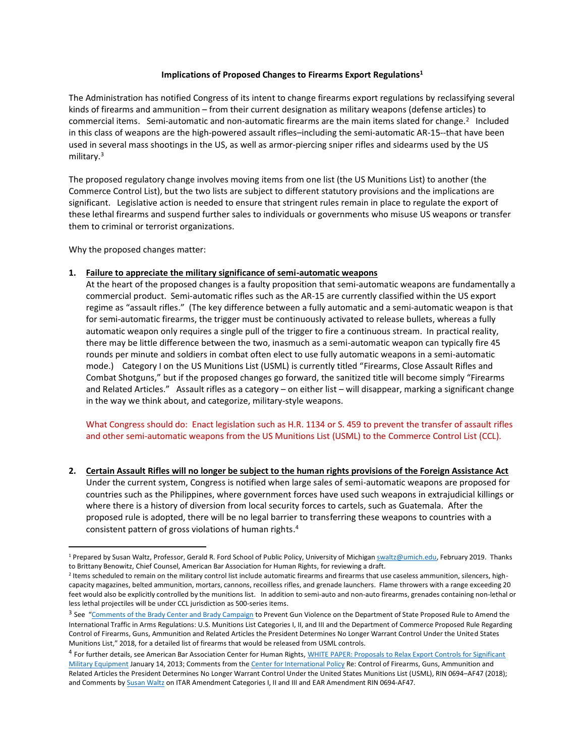### **Implications of Proposed Changes to Firearms Export Regulations<sup>1</sup>**

The Administration has notified Congress of its intent to change firearms export regulations by reclassifying several kinds of firearms and ammunition – from their current designation as military weapons (defense articles) to commercial items. Semi-automatic and non-automatic firearms are the main items slated for change.<sup>2</sup> Included in this class of weapons are the high-powered assault rifles–including the semi-automatic AR-15--that have been used in several mass shootings in the US, as well as armor-piercing sniper rifles and sidearms used by the US military.<sup>3</sup>

The proposed regulatory change involves moving items from one list (the US Munitions List) to another (the Commerce Control List), but the two lists are subject to different statutory provisions and the implications are significant. Legislative action is needed to ensure that stringent rules remain in place to regulate the export of these lethal firearms and suspend further sales to individuals or governments who misuse US weapons or transfer them to criminal or terrorist organizations.

Why the proposed changes matter:

 $\overline{a}$ 

# **1. Failure to appreciate the military significance of semi-automatic weapons**

At the heart of the proposed changes is a faulty proposition that semi-automatic weapons are fundamentally a commercial product. Semi-automatic rifles such as the AR-15 are currently classified within the US export regime as "assault rifles." (The key difference between a fully automatic and a semi-automatic weapon is that for semi-automatic firearms, the trigger must be continuously activated to release bullets, whereas a fully automatic weapon only requires a single pull of the trigger to fire a continuous stream. In practical reality, there may be little difference between the two, inasmuch as a semi-automatic weapon can typically fire 45 rounds per minute and soldiers in combat often elect to use fully automatic weapons in a semi-automatic mode.) Category I on the US Munitions List (USML) is currently titled "Firearms, Close Assault Rifles and Combat Shotguns," but if the proposed changes go forward, the sanitized title will become simply "Firearms and Related Articles." Assault rifles as a category – on either list – will disappear, marking a significant change in the way we think about, and categorize, military-style weapons.

What Congress should do: Enact legislation such as H.R. 1134 or S. 459 to prevent the transfer of assault rifles and other semi-automatic weapons from the US Munitions List (USML) to the Commerce Control List (CCL).

**2. Certain Assault Rifles will no longer be subject to the human rights provisions of the Foreign Assistance Act** Under the current system, Congress is notified when large sales of semi-automatic weapons are proposed for countries such as the Philippines, where government forces have used such weapons in extrajudicial killings or where there is a history of diversion from local security forces to cartels, such as Guatemala. After the proposed rule is adopted, there will be no legal barrier to transferring these weapons to countries with a consistent pattern of gross violations of human rights. 4

<sup>&</sup>lt;sup>1</sup> Prepared by Susan Waltz, Professor, Gerald R. Ford School of Public Policy, University of Michigan [swaltz@umich.edu,](mailto:swaltz@umich.edu) February 2019. Thanks to Brittany Benowitz, Chief Counsel, American Bar Association for Human Rights, for reviewing a draft.

<sup>&</sup>lt;sup>2</sup> Items scheduled to remain on the military control list include automatic firearms and firearms that use caseless ammunition, silencers, highcapacity magazines, belted ammunition, mortars, cannons, recoilless rifles, and grenade launchers. Flame throwers with a range exceeding 20 feet would also be explicitly controlled by the munitions list. In addition to semi-auto and non-auto firearms, grenades containing non-lethal or less lethal projectiles will be under CCL jurisdiction as 500-series items.

<sup>&</sup>lt;sup>3</sup> See "[Comments of the Brady Center and Brady Campaign](https://www.forumarmstrade.org/uploads/1/9/0/8/19082495/ddtc_and_bis_brady_comments.pdf) to Prevent Gun Violence on the Department of State Proposed Rule to Amend the International Traffic in Arms Regulations: U.S. Munitions List Categories I, II, and III and the Department of Commerce Proposed Rule Regarding Control of Firearms, Guns, Ammunition and Related Articles the President Determines No Longer Warrant Control Under the United States Munitions List," 2018, for a detailed list of firearms that would be released from USML controls.

<sup>4</sup> For further details, see American Bar Association Center for Human Rights, WHITE PAPER: Proposals to Relax Export Controls for Significant [Military Equipment](https://www.americanbar.org/content/dam/aba/administrative/individual_rights/jdweb_aba_chr_white_paper_on_proposals_to_relax_export_controls_for_significant_military_equipment_final.authcheckdam.pdf) January 14, 2013; Comments from th[e Center for International Policy](https://securityassistance.org/sites/default/files/SAM-CIP%20Letter%20BIS%20Firearms%20Rule%20FINAL_0.pdf) Re: Control of Firearms, Guns, Ammunition and Related Articles the President Determines No Longer Warrant Control Under the United States Munitions List (USML), RIN 0694–AF47 (2018); and Comments b[y Susan Waltz](https://www.forumarmstrade.org/uploads/1/9/0/8/19082495/comment_on_regs_6-30-18.pdf) on ITAR Amendment Categories I, II and III and EAR Amendment RIN 0694-AF47.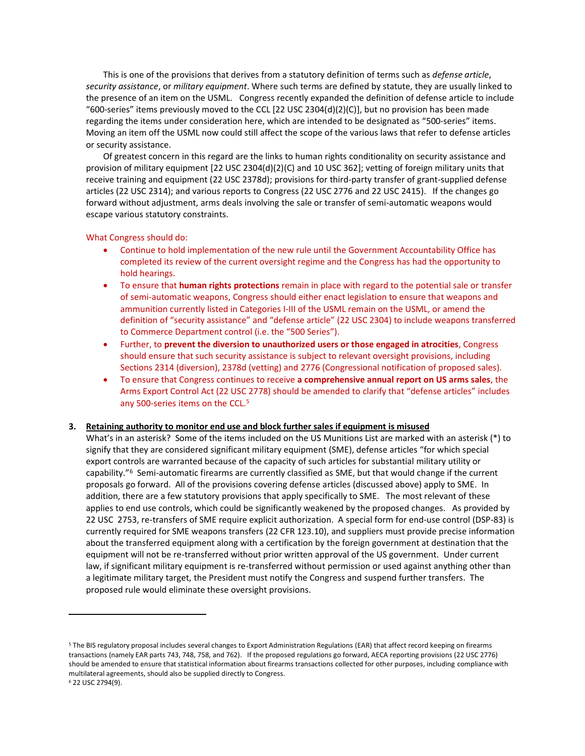This is one of the provisions that derives from a statutory definition of terms such as *defense article*, *security assistance*, or *military equipment*. Where such terms are defined by statute, they are usually linked to the presence of an item on the USML. Congress recently expanded the definition of defense article to include "600-series" items previously moved to the CCL [22 USC 2304(d)(2)(C)], but no provision has been made regarding the items under consideration here, which are intended to be designated as "500-series" items. Moving an item off the USML now could still affect the scope of the various laws that refer to defense articles or security assistance.

Of greatest concern in this regard are the links to human rights conditionality on security assistance and provision of military equipment [22 USC 2304(d)(2)(C) and 10 USC 362]; vetting of foreign military units that receive training and equipment (22 USC 2378d); provisions for third-party transfer of grant-supplied defense articles (22 USC 2314); and various reports to Congress (22 USC 2776 and 22 USC 2415). If the changes go forward without adjustment, arms deals involving the sale or transfer of semi-automatic weapons would escape various statutory constraints.

#### What Congress should do:

 $\overline{\phantom{a}}$ 

- Continue to hold implementation of the new rule until the Government Accountability Office has completed its review of the current oversight regime and the Congress has had the opportunity to hold hearings.
- To ensure that **human rights protections** remain in place with regard to the potential sale or transfer of semi-automatic weapons, Congress should either enact legislation to ensure that weapons and ammunition currently listed in Categories I-III of the USML remain on the USML, or amend the definition of "security assistance" and "defense article" (22 USC 2304) to include weapons transferred to Commerce Department control (i.e. the "500 Series").
- Further, to **prevent the diversion to unauthorized users or those engaged in atrocities**, Congress should ensure that such security assistance is subject to relevant oversight provisions, including Sections 2314 (diversion), 2378d (vetting) and 2776 (Congressional notification of proposed sales).
- To ensure that Congress continues to receive **a comprehensive annual report on US arms sales**, the Arms Export Control Act (22 USC 2778) should be amended to clarify that "defense articles" includes any 500-series items on the CCL.<sup>5</sup>

### **3. Retaining authority to monitor end use and block further sales if equipment is misused**

What's in an asterisk? Some of the items included on the US Munitions List are marked with an asterisk (\*) to signify that they are considered significant military equipment (SME), defense articles "for which special export controls are warranted because of the capacity of such articles for substantial military utility or capability."<sup>6</sup> Semi-automatic firearms are currently classified as SME, but that would change if the current proposals go forward. All of the provisions covering defense articles (discussed above) apply to SME. In addition, there are a few statutory provisions that apply specifically to SME. The most relevant of these applies to end use controls, which could be significantly weakened by the proposed changes. As provided by 22 USC 2753, re-transfers of SME require explicit authorization. A special form for end-use control (DSP-83) is currently required for SME weapons transfers (22 CFR 123.10), and suppliers must provide precise information about the transferred equipment along with a certification by the foreign government at destination that the equipment will not be re-transferred without prior written approval of the US government. Under current law, if significant military equipment is re-transferred without permission or used against anything other than a legitimate military target, the President must notify the Congress and suspend further transfers. The proposed rule would eliminate these oversight provisions.

<sup>5</sup> The BIS regulatory proposal includes several changes to Export Administration Regulations (EAR) that affect record keeping on firearms transactions (namely EAR parts 743, 748, 758, and 762). If the proposed regulations go forward, AECA reporting provisions (22 USC 2776) should be amended to ensure that statistical information about firearms transactions collected for other purposes, including compliance with multilateral agreements, should also be supplied directly to Congress. <sup>6</sup> 22 USC 2794(9).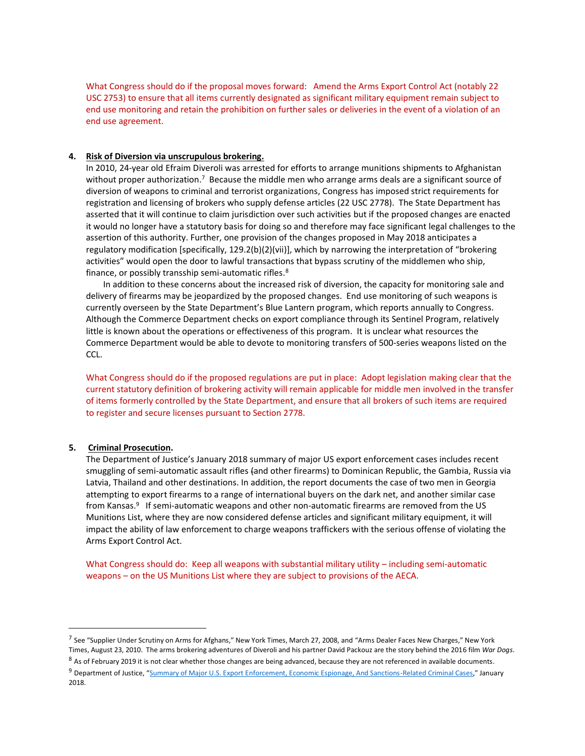What Congress should do if the proposal moves forward: Amend the Arms Export Control Act (notably 22 USC 2753) to ensure that all items currently designated as significant military equipment remain subject to end use monitoring and retain the prohibition on further sales or deliveries in the event of a violation of an end use agreement.

## **4. Risk of Diversion via unscrupulous brokering.**

In 2010, 24-year old Efraim Diveroli was arrested for efforts to arrange munitions shipments to Afghanistan without proper authorization.<sup>7</sup> Because the middle men who arrange arms deals are a significant source of diversion of weapons to criminal and terrorist organizations, Congress has imposed strict requirements for registration and licensing of brokers who supply defense articles (22 USC 2778). The State Department has asserted that it will continue to claim jurisdiction over such activities but if the proposed changes are enacted it would no longer have a statutory basis for doing so and therefore may face significant legal challenges to the assertion of this authority. Further, one provision of the changes proposed in May 2018 anticipates a regulatory modification [specifically, 129.2(b)(2)(vii)], which by narrowing the interpretation of "brokering activities" would open the door to lawful transactions that bypass scrutiny of the middlemen who ship, finance, or possibly transship semi-automatic rifles.<sup>8</sup>

In addition to these concerns about the increased risk of diversion, the capacity for monitoring sale and delivery of firearms may be jeopardized by the proposed changes. End use monitoring of such weapons is currently overseen by the State Department's Blue Lantern program, which reports annually to Congress. Although the Commerce Department checks on export compliance through its Sentinel Program, relatively little is known about the operations or effectiveness of this program. It is unclear what resources the Commerce Department would be able to devote to monitoring transfers of 500-series weapons listed on the CCL.

What Congress should do if the proposed regulations are put in place: Adopt legislation making clear that the current statutory definition of brokering activity will remain applicable for middle men involved in the transfer of items formerly controlled by the State Department, and ensure that all brokers of such items are required to register and secure licenses pursuant to Section 2778.

### **5. Criminal Prosecution.**

 $\overline{\phantom{a}}$ 

The Department of Justice's January 2018 summary of major US export enforcement cases includes recent smuggling of semi-automatic assault rifles (and other firearms) to Dominican Republic, the Gambia, Russia via Latvia, Thailand and other destinations. In addition, the report documents the case of two men in Georgia attempting to export firearms to a range of international buyers on the dark net, and another similar case from Kansas.<sup>9</sup> If semi-automatic weapons and other non-automatic firearms are removed from the US Munitions List, where they are now considered defense articles and significant military equipment, it will impact the ability of law enforcement to charge weapons traffickers with the serious offense of violating the Arms Export Control Act.

What Congress should do: Keep all weapons with substantial military utility – including semi-automatic weapons – on the US Munitions List where they are subject to provisions of the AECA.

<sup>&</sup>lt;sup>7</sup> See "Supplier Under Scrutiny on Arms for Afghans," New York Times, March 27, 2008, and "Arms Dealer Faces New Charges," New York Times, August 23, 2010. The arms brokering adventures of Diveroli and his partner David Packouz are the story behind the 2016 film *War Dogs*.

 $8$  As of February 2019 it is not clear whether those changes are being advanced, because they are not referenced in available documents.

<sup>9</sup> Department of Justice, "[Summary of Major U.S. Export Enforcement, Economic Espionage, And Sanctions-Related Criminal Cases](https://www.justice.gov/nsd/page/file/1044446/download)," January 2018.